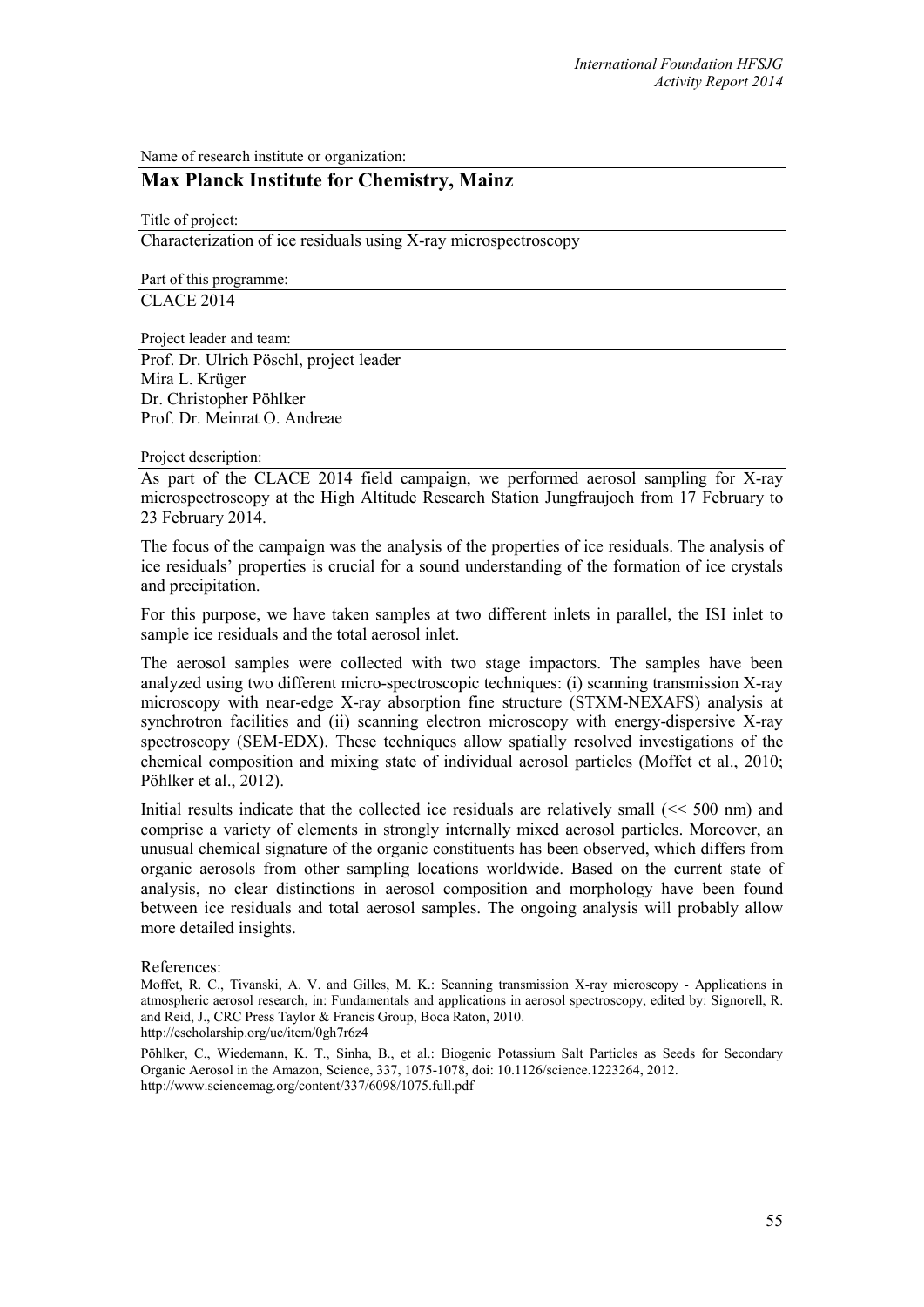Name of research institute or organization:

## **Max Planck Institute for Chemistry, Mainz**

Title of project:

Characterization of ice residuals using X-ray microspectroscopy

Part of this programme: CLACE 2014

Project leader and team:

Prof. Dr. Ulrich Pöschl, project leader Mira L. Krüger Dr. Christopher Pöhlker Prof. Dr. Meinrat O. Andreae

## Project description:

As part of the CLACE 2014 field campaign, we performed aerosol sampling for X-ray microspectroscopy at the High Altitude Research Station Jungfraujoch from 17 February to 23 February 2014.

The focus of the campaign was the analysis of the properties of ice residuals. The analysis of ice residuals' properties is crucial for a sound understanding of the formation of ice crystals and precipitation.

For this purpose, we have taken samples at two different inlets in parallel, the ISI inlet to sample ice residuals and the total aerosol inlet.

The aerosol samples were collected with two stage impactors. The samples have been analyzed using two different micro-spectroscopic techniques: (i) scanning transmission X-ray microscopy with near-edge X-ray absorption fine structure (STXM-NEXAFS) analysis at synchrotron facilities and (ii) scanning electron microscopy with energy-dispersive X-ray spectroscopy (SEM-EDX). These techniques allow spatially resolved investigations of the chemical composition and mixing state of individual aerosol particles (Moffet et al., 2010; Pöhlker et al., 2012).

Initial results indicate that the collected ice residuals are relatively small (<< 500 nm) and comprise a variety of elements in strongly internally mixed aerosol particles. Moreover, an unusual chemical signature of the organic constituents has been observed, which differs from organic aerosols from other sampling locations worldwide. Based on the current state of analysis, no clear distinctions in aerosol composition and morphology have been found between ice residuals and total aerosol samples. The ongoing analysis will probably allow more detailed insights.

## References:

Pöhlker, C., Wiedemann, K. T., Sinha, B., et al.: Biogenic Potassium Salt Particles as Seeds for Secondary Organic Aerosol in the Amazon, Science, 337, 1075-1078, doi: 10.1126/science.1223264, 2012. http://www.sciencemag.org/content/337/6098/1075.full.pdf

Moffet, R. C., Tivanski, A. V. and Gilles, M. K.: Scanning transmission X-ray microscopy - Applications in atmospheric aerosol research, in: Fundamentals and applications in aerosol spectroscopy, edited by: Signorell, R. and Reid, J., CRC Press Taylor & Francis Group, Boca Raton, 2010. http://escholarship.org/uc/item/0gh7r6z4